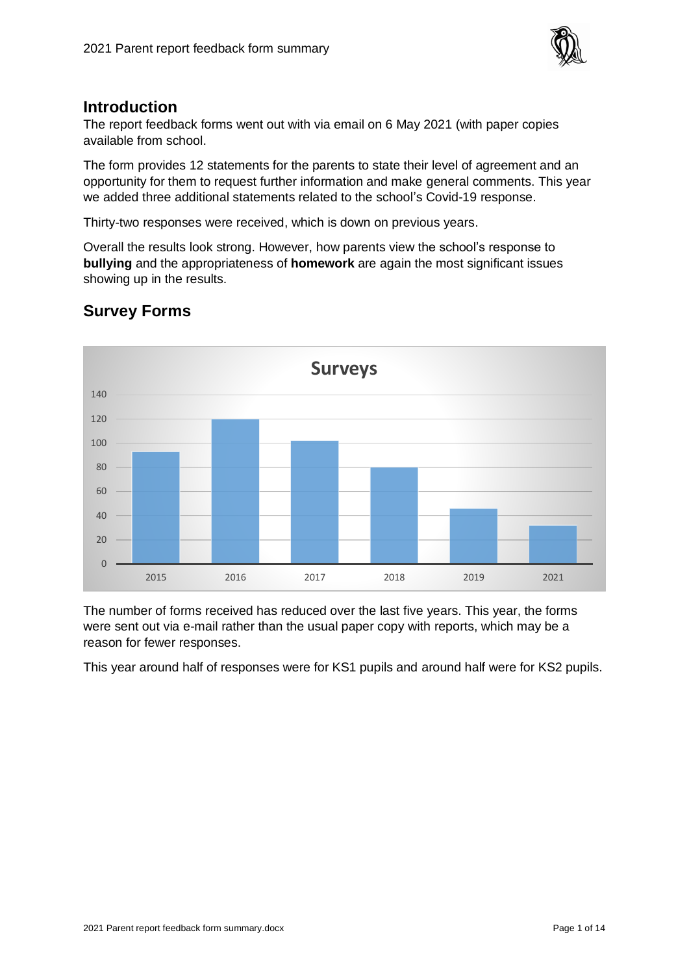

#### **Introduction**

The report feedback forms went out with via email on 6 May 2021 (with paper copies available from school.

The form provides 12 statements for the parents to state their level of agreement and an opportunity for them to request further information and make general comments. This year we added three additional statements related to the school's Covid-19 response.

Thirty-two responses were received, which is down on previous years.

Overall the results look strong. However, how parents view the school's response to **bullying** and the appropriateness of **homework** are again the most significant issues showing up in the results.



# **Survey Forms**

The number of forms received has reduced over the last five years. This year, the forms were sent out via e-mail rather than the usual paper copy with reports, which may be a reason for fewer responses.

This year around half of responses were for KS1 pupils and around half were for KS2 pupils.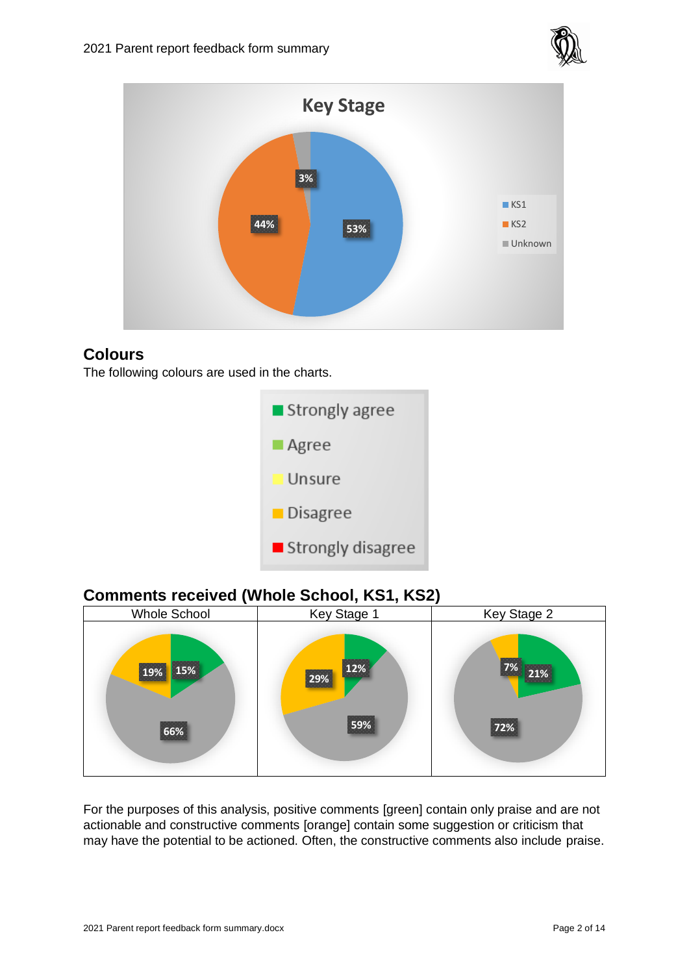



## **Colours**

The following colours are used in the charts.



# **Comments received (Whole School, KS1, KS2)**



For the purposes of this analysis, positive comments [green] contain only praise and are not actionable and constructive comments [orange] contain some suggestion or criticism that may have the potential to be actioned. Often, the constructive comments also include praise.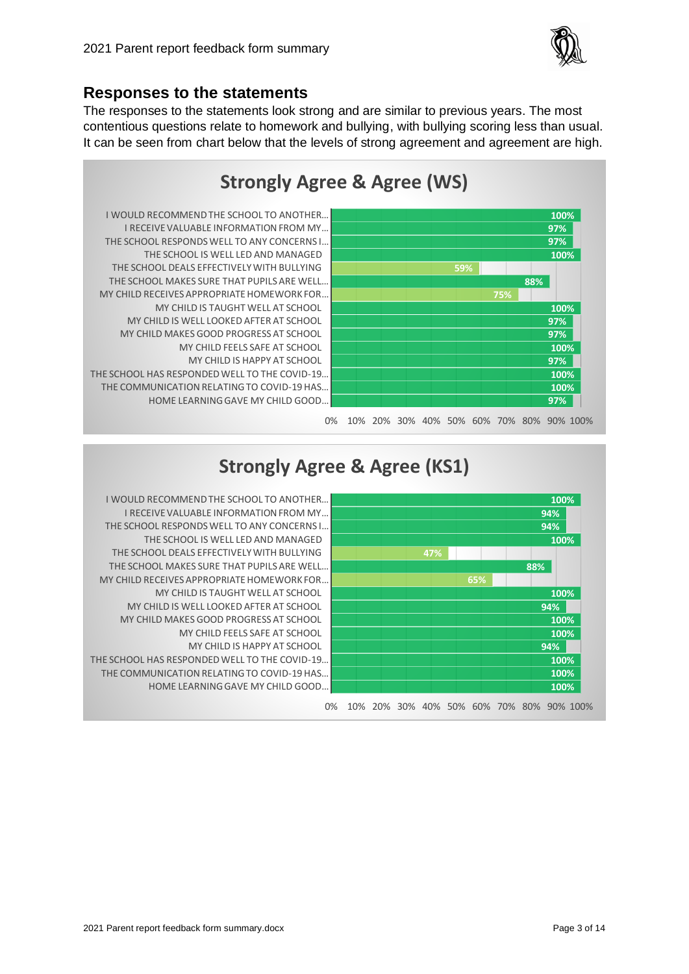

## **Responses to the statements**

The responses to the statements look strong and are similar to previous years. The most contentious questions relate to homework and bullying, with bullying scoring less than usual. It can be seen from chart below that the levels of strong agreement and agreement are high.



# **Strongly Agree & Agree (KS1)**



HOME LEARNING GAVE MY CHILD GOOD … THE COMMUNICATION RELATING TO COVID-19 HAS THE SCHOOL HAS RESPONDED WELL TO THE COVID-19. MY CHILD IS HAPPY AT SCHOOL MY CHILD FEELS SAFE AT SCHOOL MY CHILD MAKES GOOD PROGRESS AT SCHOOL MY CHILD IS WELL LOOKED AFTER AT SCHOOL MY CHILD IS TAUGHT WELL AT SCHOOL MY CHILD RECEIVES APPROPRIATE HOMEWORK FOR THE SCHOOL MAKES SURE THAT PUPILS ARE WELL. THE SCHOOL DEALS EFFECTIVELY WITH BULLYING THE SCHOOL IS WELL LED AND MANAGED THE SCHOOL RESPONDS WELL TO ANY CONCERNS I... I RECEIVE VALUABLE INFORMATION FROM MY … I WOULD RECOMMEND THE SCHOOL TO ANOTHER …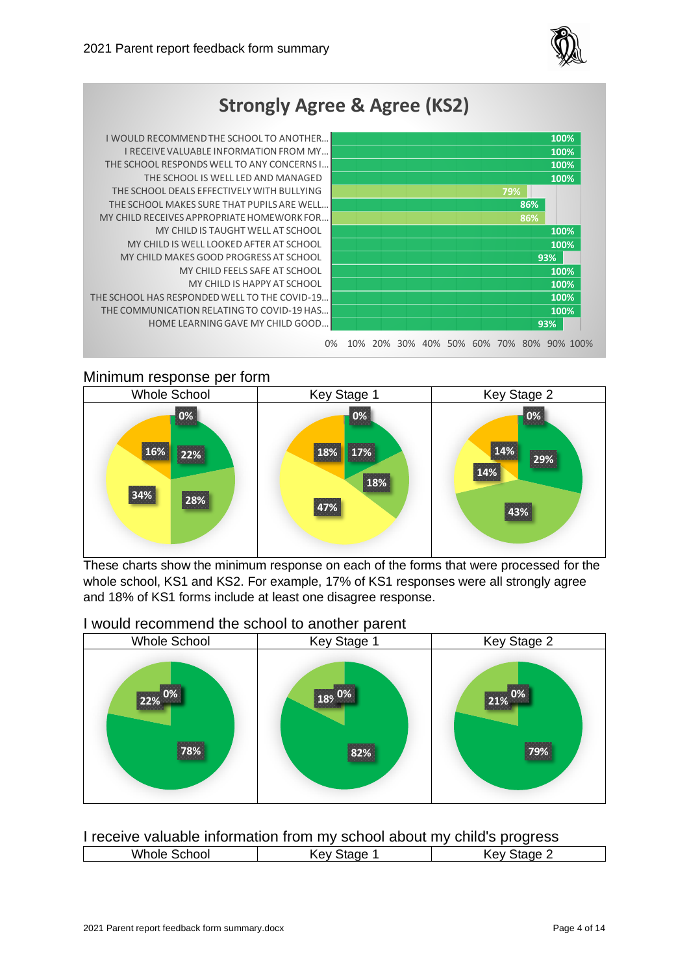





#### Minimum response per form



These charts show the minimum response on each of the forms that were processed for the whole school, KS1 and KS2. For example, 17% of KS1 responses were all strongly agree and 18% of KS1 forms include at least one disagree response.

#### I would recommend the school to another parent



| I receive valuable information from my school about my child's progress |  |  |
|-------------------------------------------------------------------------|--|--|
|-------------------------------------------------------------------------|--|--|

| Whole<br>chool<br>י | αe<br>ev<br>$\ddot{\phantom{0}}$ | $+ - - -$<br>$\mathbf{r}$<br>16<br>nev.<br>. L |
|---------------------|----------------------------------|------------------------------------------------|
|                     |                                  |                                                |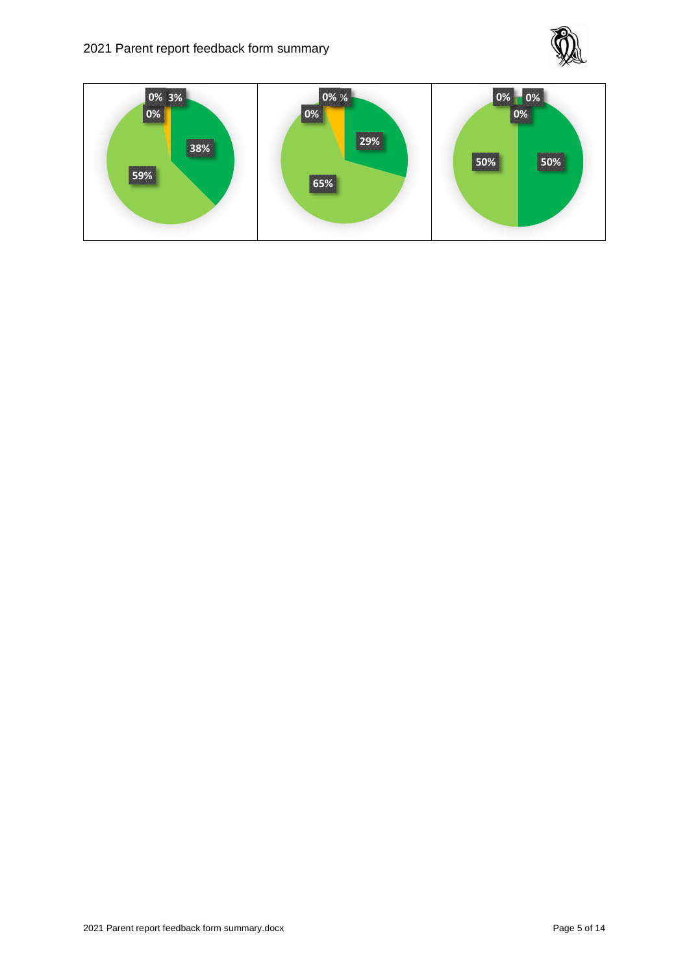

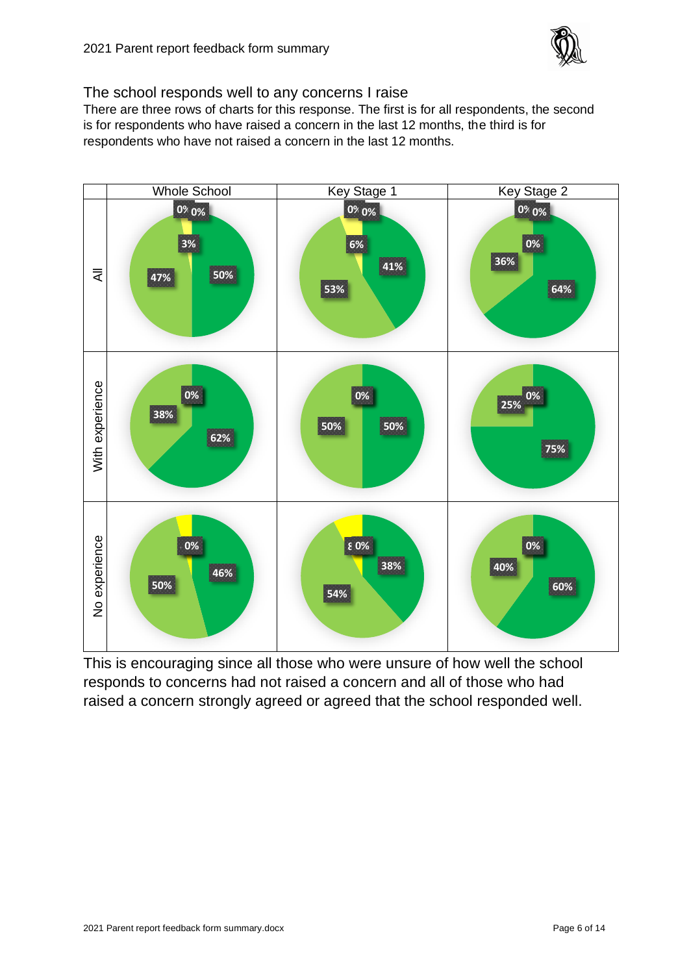

The school responds well to any concerns I raise

There are three rows of charts for this response. The first is for all respondents, the second is for respondents who have raised a concern in the last 12 months, the third is for respondents who have not raised a concern in the last 12 months.



This is encouraging since all those who were unsure of how well the school responds to concerns had not raised a concern and all of those who had raised a concern strongly agreed or agreed that the school responded well.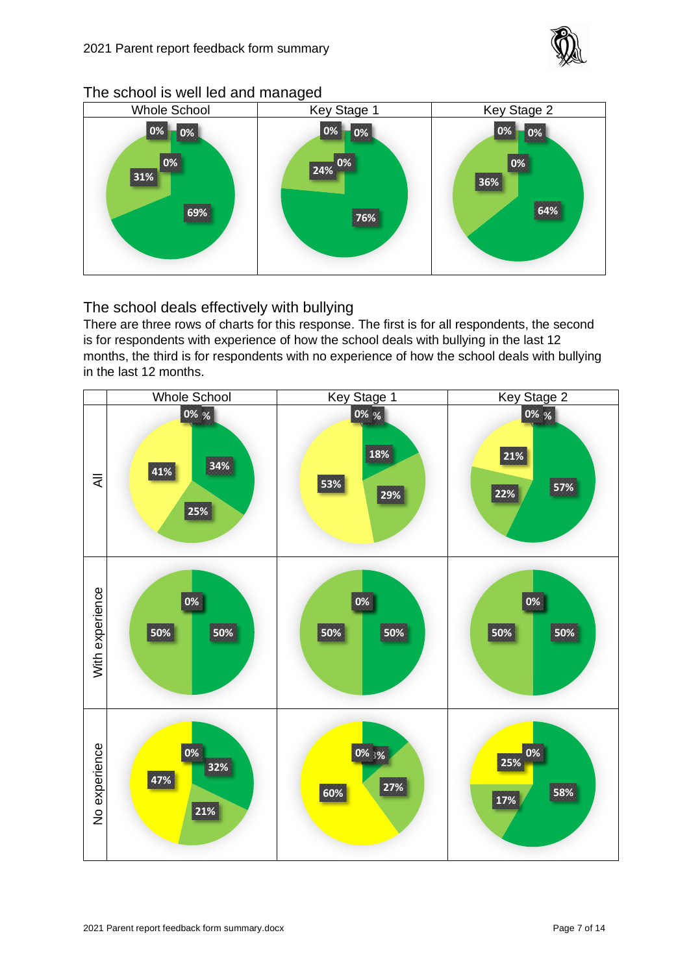

#### The school is well led and managed



The school deals effectively with bullying

There are three rows of charts for this response. The first is for all respondents, the second is for respondents with experience of how the school deals with bullying in the last 12 months, the third is for respondents with no experience of how the school deals with bullying in the last 12 months.

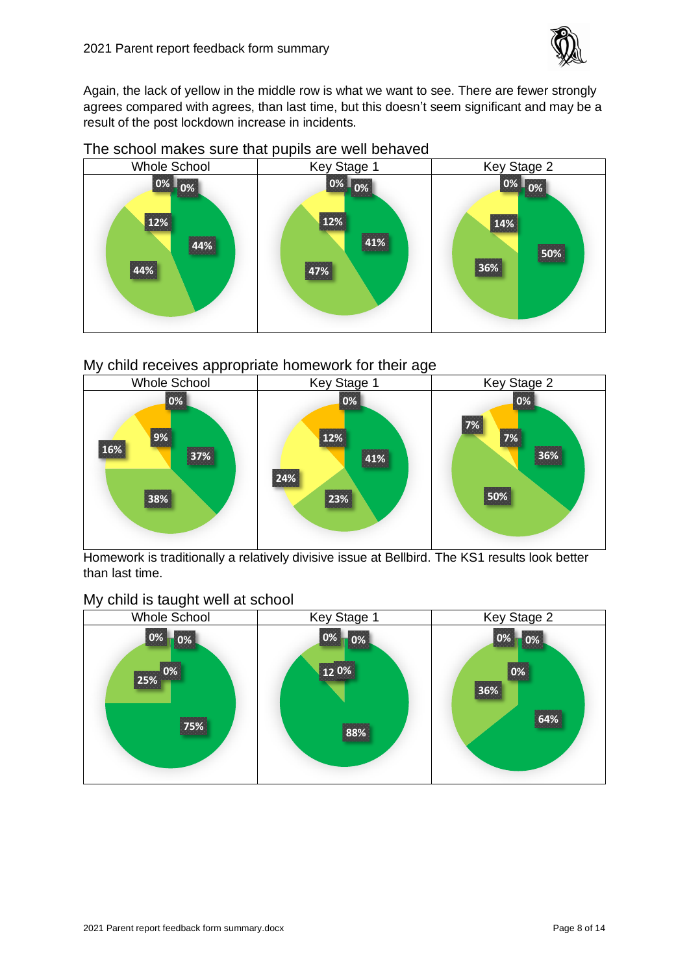

Again, the lack of yellow in the middle row is what we want to see. There are fewer strongly agrees compared with agrees, than last time, but this doesn't seem significant and may be a result of the post lockdown increase in incidents.



#### The school makes sure that pupils are well behaved

#### My child receives appropriate homework for their age



Homework is traditionally a relatively divisive issue at Bellbird. The KS1 results look better than last time.

#### My child is taught well at school

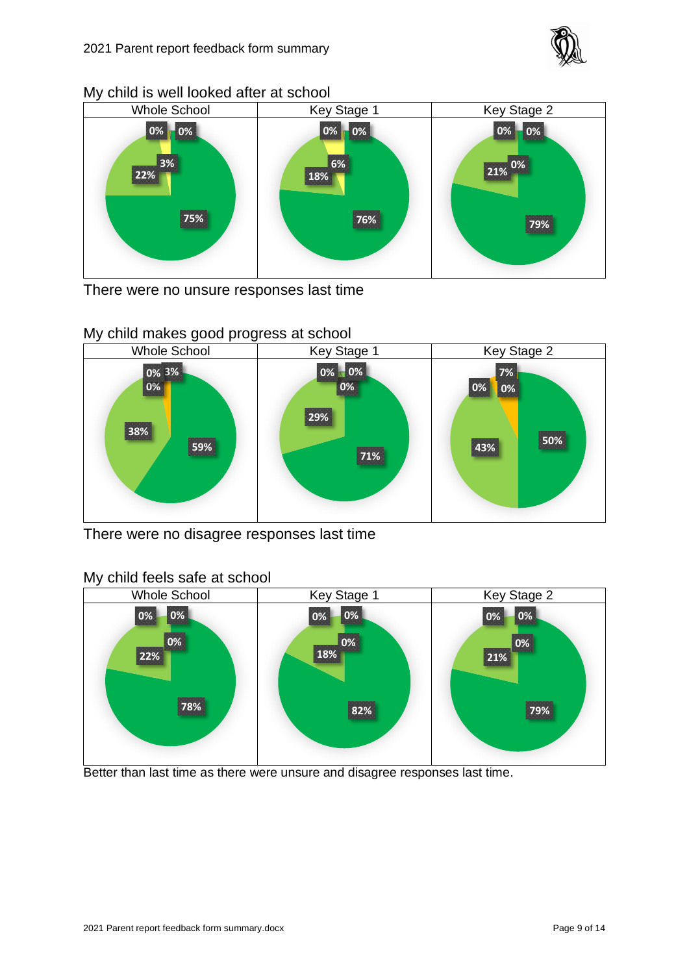

#### My child is well looked after at school



There were no unsure responses last time



There were no disagree responses last time



## My child feels safe at school

Better than last time as there were unsure and disagree responses last time.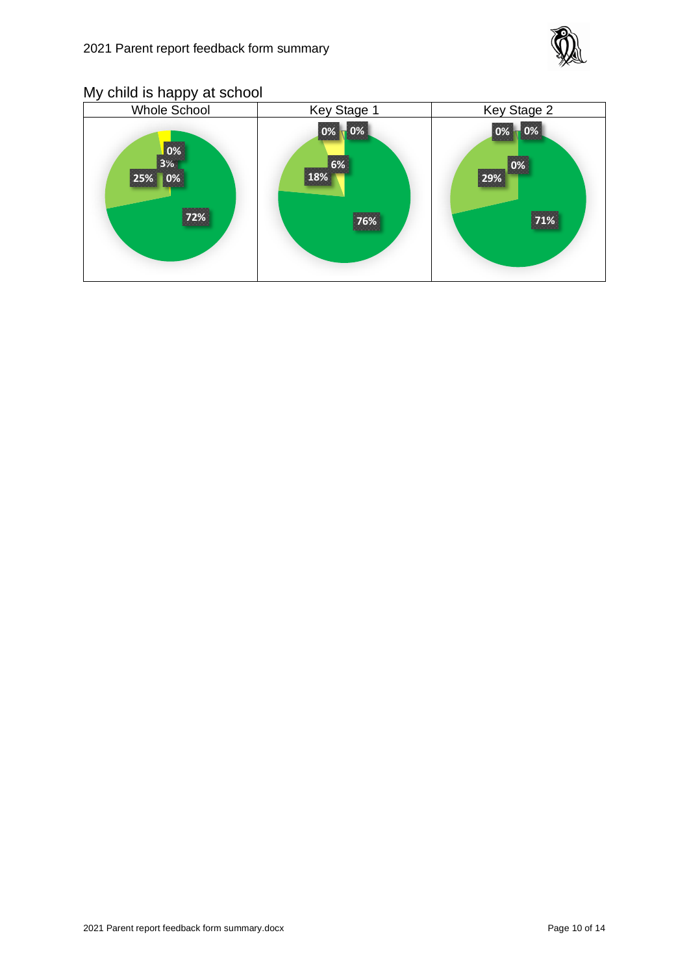

# My child is happy at school

| <b>Whole School</b>                                             | Key Stage 1                   | Key Stage 2                                     |
|-----------------------------------------------------------------|-------------------------------|-------------------------------------------------|
| $\begin{array}{c}\n 0\% \\ 3\% \\ \end{array}$<br>25% 0%<br>72% | 0%<br> 0%<br>6%<br>18%<br>76% | $\blacksquare$ 0%<br>$ 0\%$<br>0%<br>29%<br>71% |
|                                                                 |                               |                                                 |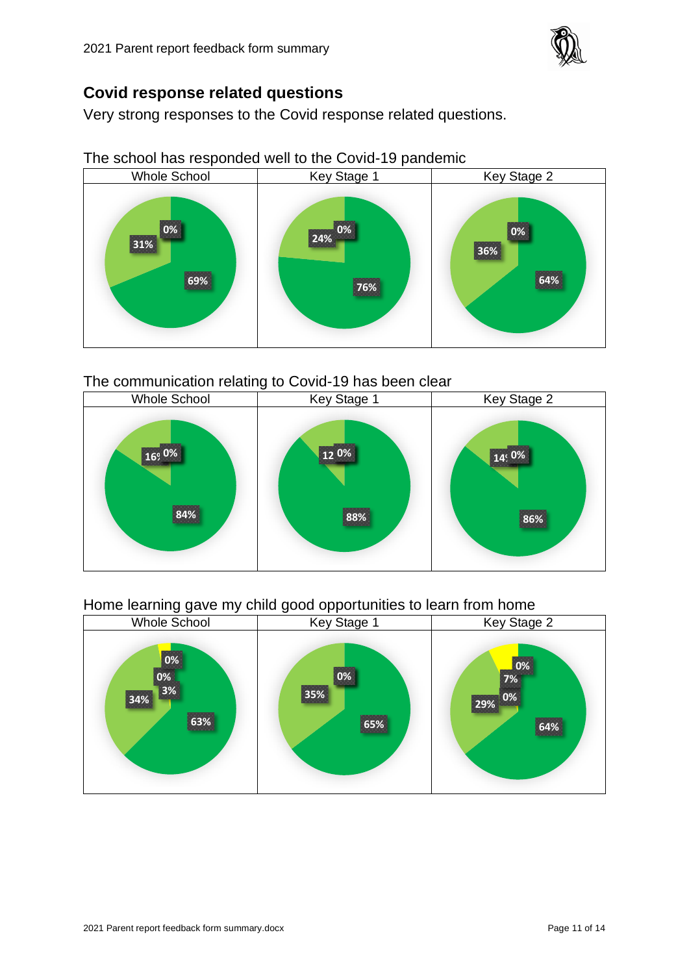

## **Covid response related questions**

Very strong responses to the Covid response related questions.

The school has responded well to the Covid-19 pandemic



#### The communication relating to Covid-19 has been clear



## Home learning gave my child good opportunities to learn from home

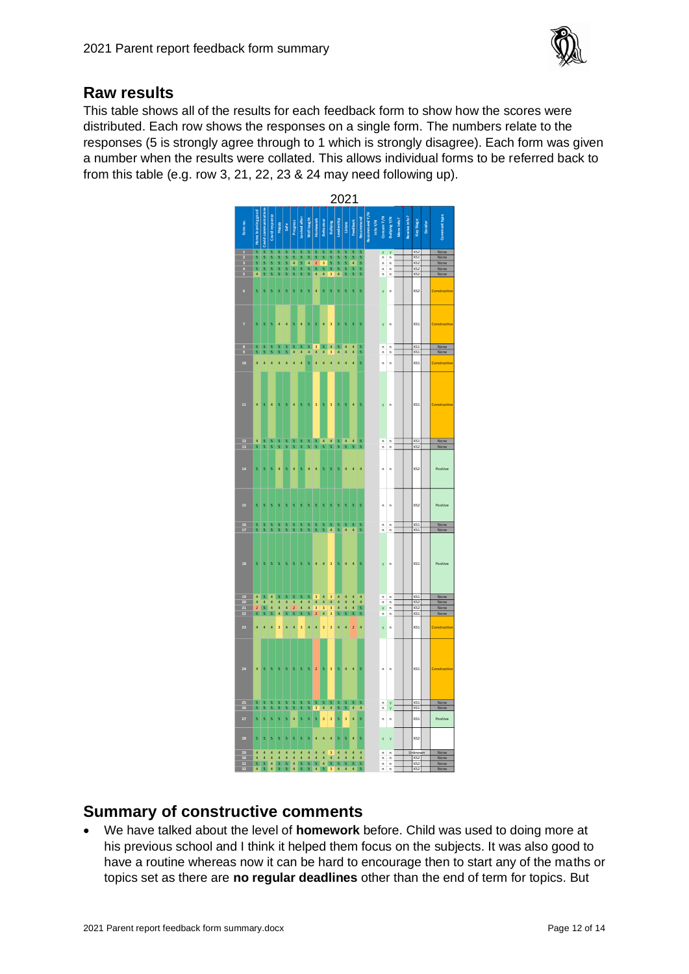

### **Raw results**

This table shows all of the results for each feedback form to show how the scores were distributed. Each row shows the responses on a single form. The numbers relate to the responses (5 is strongly agree through to 1 which is strongly disagree). Each form was given a number when the results were collated. This allows individual forms to be referred back to from this table (e.g. row 3, 21, 22, 23 & 24 may need following up).



# **Summary of constructive comments**

• We have talked about the level of **homework** before. Child was used to doing more at his previous school and I think it helped them focus on the subjects. It was also good to have a routine whereas now it can be hard to encourage then to start any of the maths or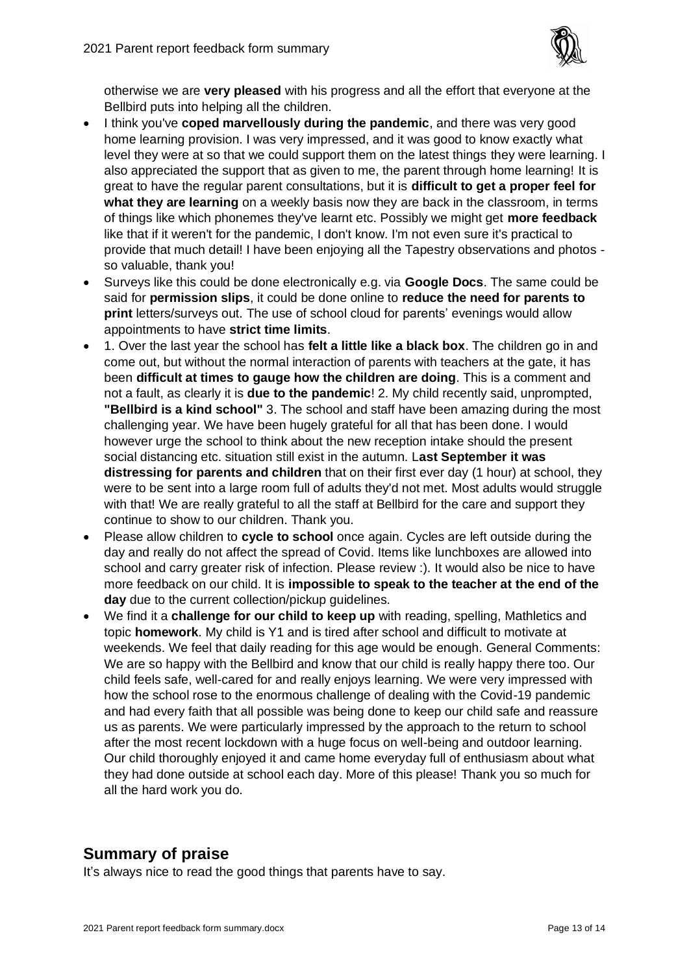

otherwise we are **very pleased** with his progress and all the effort that everyone at the Bellbird puts into helping all the children.

- I think you've **coped marvellously during the pandemic**, and there was very good home learning provision. I was very impressed, and it was good to know exactly what level they were at so that we could support them on the latest things they were learning. I also appreciated the support that as given to me, the parent through home learning! It is great to have the regular parent consultations, but it is **difficult to get a proper feel for what they are learning** on a weekly basis now they are back in the classroom, in terms of things like which phonemes they've learnt etc. Possibly we might get **more feedback** like that if it weren't for the pandemic, I don't know. I'm not even sure it's practical to provide that much detail! I have been enjoying all the Tapestry observations and photos so valuable, thank you!
- Surveys like this could be done electronically e.g. via **Google Docs**. The same could be said for **permission slips**, it could be done online to **reduce the need for parents to print** letters/surveys out. The use of school cloud for parents' evenings would allow appointments to have **strict time limits**.
- 1. Over the last year the school has **felt a little like a black box**. The children go in and come out, but without the normal interaction of parents with teachers at the gate, it has been **difficult at times to gauge how the children are doing**. This is a comment and not a fault, as clearly it is **due to the pandemic**! 2. My child recently said, unprompted, **"Bellbird is a kind school"** 3. The school and staff have been amazing during the most challenging year. We have been hugely grateful for all that has been done. I would however urge the school to think about the new reception intake should the present social distancing etc. situation still exist in the autumn. L**ast September it was distressing for parents and children** that on their first ever day (1 hour) at school, they were to be sent into a large room full of adults they'd not met. Most adults would struggle with that! We are really grateful to all the staff at Bellbird for the care and support they continue to show to our children. Thank you.
- Please allow children to **cycle to school** once again. Cycles are left outside during the day and really do not affect the spread of Covid. Items like lunchboxes are allowed into school and carry greater risk of infection. Please review :). It would also be nice to have more feedback on our child. It is **impossible to speak to the teacher at the end of the day** due to the current collection/pickup guidelines.
- We find it a **challenge for our child to keep up** with reading, spelling, Mathletics and topic **homework**. My child is Y1 and is tired after school and difficult to motivate at weekends. We feel that daily reading for this age would be enough. General Comments: We are so happy with the Bellbird and know that our child is really happy there too. Our child feels safe, well-cared for and really enjoys learning. We were very impressed with how the school rose to the enormous challenge of dealing with the Covid-19 pandemic and had every faith that all possible was being done to keep our child safe and reassure us as parents. We were particularly impressed by the approach to the return to school after the most recent lockdown with a huge focus on well-being and outdoor learning. Our child thoroughly enjoyed it and came home everyday full of enthusiasm about what they had done outside at school each day. More of this please! Thank you so much for all the hard work you do.

# **Summary of praise**

It's always nice to read the good things that parents have to say.